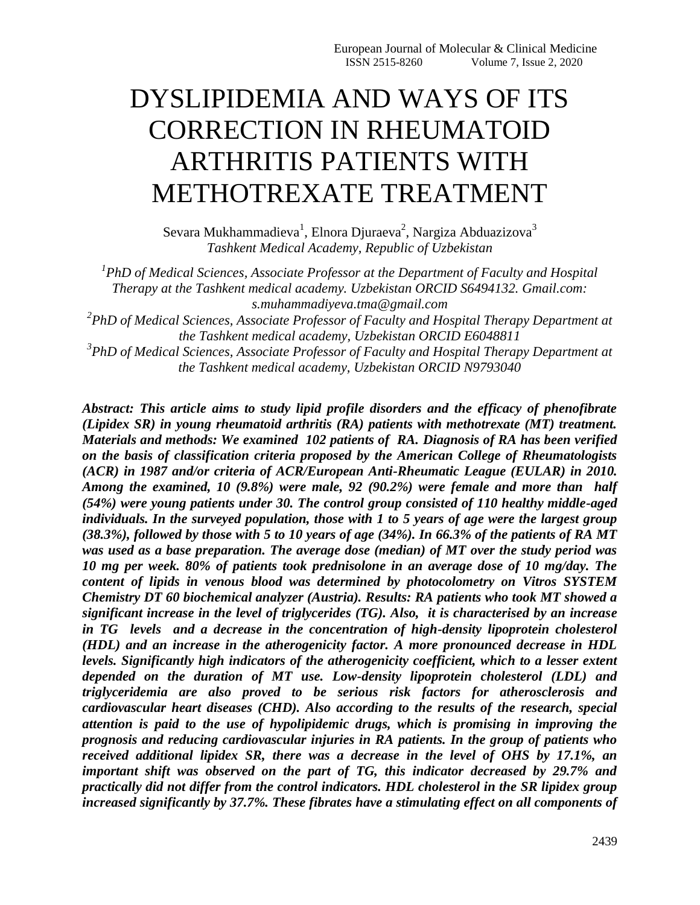# DYSLIPIDEMIA AND WAYS OF ITS CORRECTION IN RHEUMATOID ARTHRITIS PATIENTS WITH METHOTREXATE TREATMENT

Sevara Mukhammadieva $^1$ , Elnora Djuraeva $^2$ , Nargiza Abduazizova $^3$ *Tashkent Medical Academy, Republic of Uzbekistan*

<sup>1</sup> PhD of Medical Sciences, Associate Professor at the Department of Faculty and Hospital *Therapy at the Tashkent medical academy. Uzbekistan ORCID S6494132. Gmail.com: s.muhammadiyeva.tma@gmail.com*

*2 PhD of Medical Sciences, Associate Professor of Faculty and Hospital Therapy Department at the Tashkent medical academy, Uzbekistan ORCID E6048811*

*3 PhD of Medical Sciences, Associate Professor of Faculty and Hospital Therapy Department at the Tashkent medical academy, Uzbekistan ORCID N9793040*

*Abstract: This article aims to study lipid profile disorders and the efficacy of phenofibrate (Lipidex SR) in young rheumatoid arthritis (RA) patients with methotrexate (MT) treatment. Materials and methods: We examined 102 patients of RA. Diagnosis of RA has been verified on the basis of classification criteria proposed by the American College of Rheumatologists (ACR) in 1987 and/or criteria of ACR/European Anti-Rheumatic League (EULAR) in 2010. Among the examined, 10 (9.8%) were male, 92 (90.2%) were female and more than half (54%) were young patients under 30. The control group consisted of 110 healthy middle-aged individuals. In the surveyed population, those with 1 to 5 years of age were the largest group (38.3%), followed by those with 5 to 10 years of age (34%). In 66.3% of the patients of RA MT was used as a base preparation. The average dose (median) of MT over the study period was 10 mg per week. 80% of patients took prednisolone in an average dose of 10 mg/day. The content of lipids in venous blood was determined by photocolometry on Vitros SYSTEM Chemistry DT 60 biochemical analyzer (Austria). Results: RA patients who took MT showed a significant increase in the level of triglycerides (TG). Also, it is characterised by an increase in TG levels and a decrease in the concentration of high-density lipoprotein cholesterol (HDL) and an increase in the atherogenicity factor. A more pronounced decrease in HDL levels. Significantly high indicators of the atherogenicity coefficient, which to a lesser extent depended on the duration of MT use. Low-density lipoprotein cholesterol (LDL) and triglyceridemia are also proved to be serious risk factors for atherosclerosis and cardiovascular heart diseases (CHD). Also according to the results of the research, special attention is paid to the use of hypolipidemic drugs, which is promising in improving the prognosis and reducing cardiovascular injuries in RA patients. In the group of patients who received additional lipidex SR, there was a decrease in the level of OHS by 17.1%, an important shift was observed on the part of TG, this indicator decreased by 29.7% and practically did not differ from the control indicators. HDL cholesterol in the SR lipidex group increased significantly by 37.7%. These fibrates have a stimulating effect on all components of*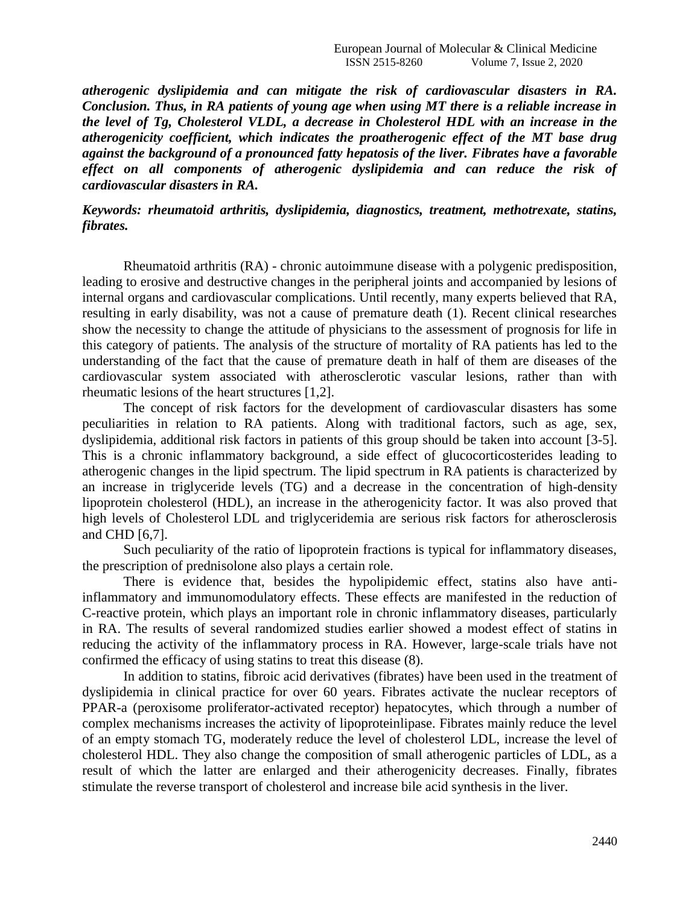*atherogenic dyslipidemia and can mitigate the risk of cardiovascular disasters in RA. Conclusion. Thus, in RA patients of young age when using MT there is a reliable increase in the level of Tg, Cholesterol VLDL, a decrease in Cholesterol HDL with an increase in the atherogenicity coefficient, which indicates the proatherogenic effect of the MT base drug against the background of a pronounced fatty hepatosis of the liver. Fibrates have a favorable*  effect on all components of atherogenic dyslipidemia and can reduce the risk of *cardiovascular disasters in RA.*

## *Keywords: rheumatoid arthritis, dyslipidemia, diagnostics, treatment, methotrexate, statins, fibrates.*

Rheumatoid arthritis (RA) - chronic autoimmune disease with a polygenic predisposition, leading to erosive and destructive changes in the peripheral joints and accompanied by lesions of internal organs and cardiovascular complications. Until recently, many experts believed that RA, resulting in early disability, was not a cause of premature death (1). Recent clinical researches show the necessity to change the attitude of physicians to the assessment of prognosis for life in this category of patients. The analysis of the structure of mortality of RA patients has led to the understanding of the fact that the cause of premature death in half of them are diseases of the cardiovascular system associated with atherosclerotic vascular lesions, rather than with rheumatic lesions of the heart structures [1,2].

The concept of risk factors for the development of cardiovascular disasters has some peculiarities in relation to RA patients. Along with traditional factors, such as age, sex, dyslipidemia, additional risk factors in patients of this group should be taken into account [3-5]. This is a chronic inflammatory background, a side effect of glucocorticosterides leading to atherogenic changes in the lipid spectrum. The lipid spectrum in RA patients is characterized by an increase in triglyceride levels (TG) and a decrease in the concentration of high-density lipoprotein cholesterol (HDL), an increase in the atherogenicity factor. It was also proved that high levels of Cholesterol LDL and triglyceridemia are serious risk factors for atherosclerosis and CHD [6,7].

Such peculiarity of the ratio of lipoprotein fractions is typical for inflammatory diseases, the prescription of prednisolone also plays a certain role.

There is evidence that, besides the hypolipidemic effect, statins also have antiinflammatory and immunomodulatory effects. These effects are manifested in the reduction of C-reactive protein, which plays an important role in chronic inflammatory diseases, particularly in RA. The results of several randomized studies earlier showed a modest effect of statins in reducing the activity of the inflammatory process in RA. However, large-scale trials have not confirmed the efficacy of using statins to treat this disease (8).

In addition to statins, fibroic acid derivatives (fibrates) have been used in the treatment of dyslipidemia in clinical practice for over 60 years. Fibrates activate the nuclear receptors of PPAR-a (peroxisome proliferator-activated receptor) hepatocytes, which through a number of complex mechanisms increases the activity of lipoproteinlipase. Fibrates mainly reduce the level of an empty stomach TG, moderately reduce the level of cholesterol LDL, increase the level of cholesterol HDL. They also change the composition of small atherogenic particles of LDL, as a result of which the latter are enlarged and their atherogenicity decreases. Finally, fibrates stimulate the reverse transport of cholesterol and increase bile acid synthesis in the liver.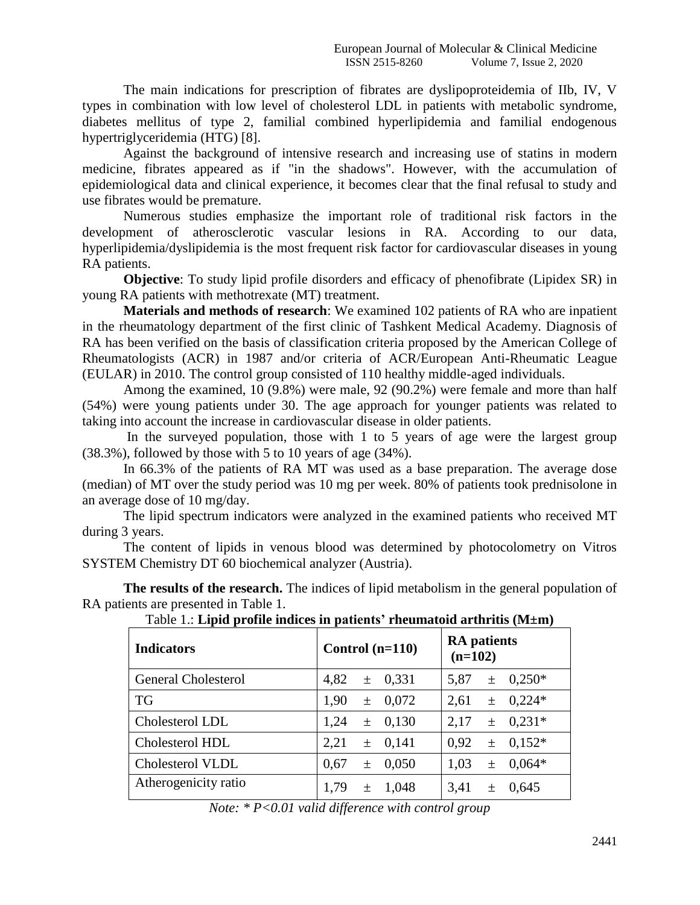The main indications for prescription of fibrates are dyslipoproteidemia of IIb, IV, V types in combination with low level of cholesterol LDL in patients with metabolic syndrome, diabetes mellitus of type 2, familial combined hyperlipidemia and familial endogenous hypertriglyceridemia (HTG) [8].

Against the background of intensive research and increasing use of statins in modern medicine, fibrates appeared as if "in the shadows". However, with the accumulation of epidemiological data and clinical experience, it becomes clear that the final refusal to study and use fibrates would be premature.

Numerous studies emphasize the important role of traditional risk factors in the development of atherosclerotic vascular lesions in RA. According to our data, hyperlipidemia/dyslipidemia is the most frequent risk factor for cardiovascular diseases in young RA patients.

**Objective**: To study lipid profile disorders and efficacy of phenofibrate (Lipidex SR) in young RA patients with methotrexate (MT) treatment.

**Materials and methods of research**: We examined 102 patients of RA who are inpatient in the rheumatology department of the first clinic of Tashkent Medical Academy. Diagnosis of RA has been verified on the basis of classification criteria proposed by the American College of Rheumatologists (ACR) in 1987 and/or criteria of ACR/European Anti-Rheumatic League (EULAR) in 2010. The control group consisted of 110 healthy middle-aged individuals.

Among the examined, 10 (9.8%) were male, 92 (90.2%) were female and more than half (54%) were young patients under 30. The age approach for younger patients was related to taking into account the increase in cardiovascular disease in older patients.

In the surveyed population, those with 1 to 5 years of age were the largest group (38.3%), followed by those with 5 to 10 years of age (34%).

In 66.3% of the patients of RA MT was used as a base preparation. The average dose (median) of MT over the study period was 10 mg per week. 80% of patients took prednisolone in an average dose of 10 mg/day.

The lipid spectrum indicators were analyzed in the examined patients who received MT during 3 years.

The content of lipids in venous blood was determined by photocolometry on Vitros SYSTEM Chemistry DT 60 biochemical analyzer (Austria).

**The results of the research.** The indices of lipid metabolism in the general population of RA patients are presented in Table 1.

| Tavic T., Effig profile murces in patients Theuniatoru artificitis (1912-111) |                        |                                 |  |  |  |  |  |  |  |
|-------------------------------------------------------------------------------|------------------------|---------------------------------|--|--|--|--|--|--|--|
| <b>Indicators</b>                                                             | Control $(n=110)$      | <b>RA</b> patients<br>$(n=102)$ |  |  |  |  |  |  |  |
| <b>General Cholesterol</b>                                                    | 4,82<br>$\pm$ 0.331    | $0.250*$<br>5,87<br>土           |  |  |  |  |  |  |  |
| <b>TG</b>                                                                     | 1,90<br>0.072<br>$\pm$ | $\pm$ 0.224*<br>2,61            |  |  |  |  |  |  |  |
| Cholesterol LDL                                                               | 1,24<br>0,130<br>$\pm$ | $0.231*$<br>2,17<br>$\pm$       |  |  |  |  |  |  |  |
| Cholesterol HDL                                                               | 2,21<br>$\pm$ 0.141    | $0.152*$<br>0.92<br>$\pm$       |  |  |  |  |  |  |  |
| Cholesterol VLDL                                                              | 0.67<br>0.050<br>土     | $0.064*$<br>1,03<br>$\pm$       |  |  |  |  |  |  |  |
| Atherogenicity ratio                                                          | 1,79<br>1,048<br>$\pm$ | 3,41<br>0.645<br>$\pm$          |  |  |  |  |  |  |  |

Table 1.: **Lipid profile indices in patients' rheumatoid arthritis (M±m)**

*Note: \* P<0.01 valid difference with control group*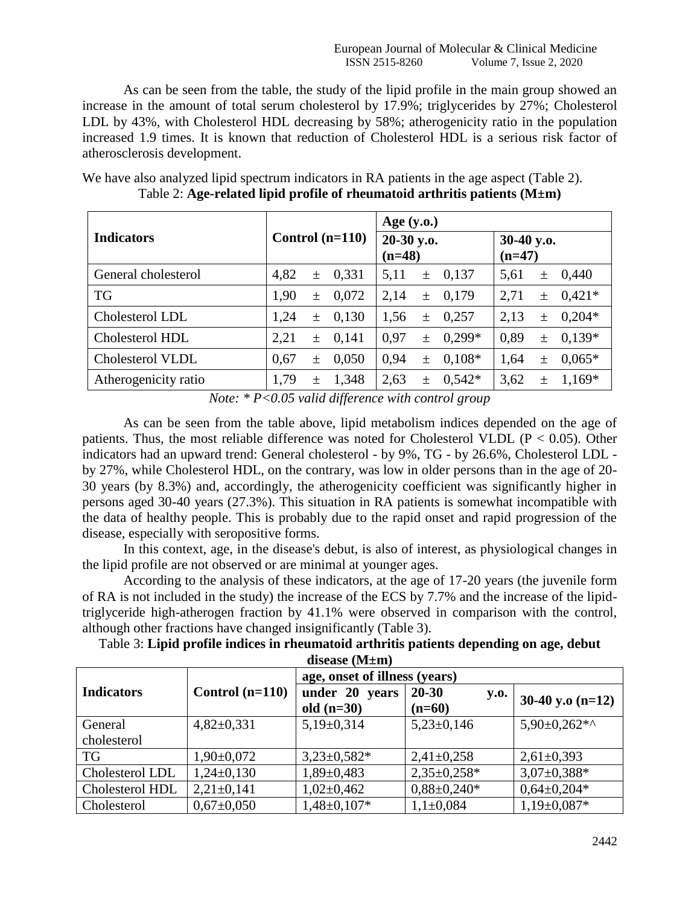As can be seen from the table, the study of the lipid profile in the main group showed an increase in the amount of total serum cholesterol by 17.9%; triglycerides by 27%; Cholesterol LDL by 43%, with Cholesterol HDL decreasing by 58%; atherogenicity ratio in the population increased 1.9 times. It is known that reduction of Cholesterol HDL is a serious risk factor of atherosclerosis development.

|                      |                   | Age $(y.o.)$           |      |       |                        |      |       |          |
|----------------------|-------------------|------------------------|------|-------|------------------------|------|-------|----------|
| <b>Indicators</b>    | Control $(n=110)$ | 20-30 y.o.<br>$(n=48)$ |      |       | 30-40 y.o.<br>$(n=47)$ |      |       |          |
| General cholesterol  | 4,82<br>$\pm$     | 0,331                  | 5,11 | $\pm$ | 0,137                  | 5,61 | $\pm$ | 0,440    |
| <b>TG</b>            | 1,90<br>$+$       | 0,072                  | 2,14 | $\pm$ | 0,179                  | 2,71 | $\pm$ | $0.421*$ |
| Cholesterol LDL      | 1,24<br>$\pm$     | 0,130                  | 1,56 | $\pm$ | 0,257                  | 2,13 | $\pm$ | $0,204*$ |
| Cholesterol HDL      | 2,21<br>$\pm$     | 0,141                  | 0.97 | $\pm$ | $0.299*$               | 0,89 | $\pm$ | $0,139*$ |
| Cholesterol VLDL     | 0,67<br>土         | 0,050                  | 0,94 | $\pm$ | $0,108*$               | 1,64 | $\pm$ | $0,065*$ |
| Atherogenicity ratio | 1,79<br>$\pm$     | 1,348                  | 2,63 | $\pm$ | $0.542*$               | 3,62 | 士     | $1,169*$ |

We have also analyzed lipid spectrum indicators in RA patients in the age aspect (Table 2). Table 2: **Age-related lipid profile of rheumatoid arthritis patients (M±m)**

*Note: \* P<0.05 valid difference with control group*

As can be seen from the table above, lipid metabolism indices depended on the age of patients. Thus, the most reliable difference was noted for Cholesterol VLDL ( $P < 0.05$ ). Other indicators had an upward trend: General cholesterol - by 9%, TG - by 26.6%, Cholesterol LDL by 27%, while Cholesterol HDL, on the contrary, was low in older persons than in the age of 20- 30 years (by 8.3%) and, accordingly, the atherogenicity coefficient was significantly higher in persons aged 30-40 years (27.3%). This situation in RA patients is somewhat incompatible with the data of healthy people. This is probably due to the rapid onset and rapid progression of the disease, especially with seropositive forms.

In this context, age, in the disease's debut, is also of interest, as physiological changes in the lipid profile are not observed or are minimal at younger ages.

According to the analysis of these indicators, at the age of 17-20 years (the juvenile form of RA is not included in the study) the increase of the ECS by 7.7% and the increase of the lipidtriglyceride high-atherogen fraction by 41.1% were observed in comparison with the control, although other fractions have changed insignificantly (Table 3).

| Table 3: Lipid profile indices in rheumatoid arthritis patients depending on age, debut |  |
|-----------------------------------------------------------------------------------------|--|
| disease $(M \pm m)$                                                                     |  |

|                   |                   | age, onset of illness (years) |                          |                    |  |
|-------------------|-------------------|-------------------------------|--------------------------|--------------------|--|
| <b>Indicators</b> | Control $(n=110)$ | under 20 years                | $20 - 30$<br><b>y.o.</b> | 30-40 y.o $(n=12)$ |  |
|                   |                   | old $(n=30)$                  | $(n=60)$                 |                    |  |
| General           | $4,82\pm0,331$    | $5,19\pm0,314$                | $5,23\pm0,146$           | $5,90\pm0.262**$   |  |
| cholesterol       |                   |                               |                          |                    |  |
| <b>TG</b>         | $1,90\pm0,072$    | $3,23\pm0,582*$               | $2,41\pm0,258$           | $2,61\pm0,393$     |  |
| Cholesterol LDL   | $1,24\pm0,130$    | $1,89 \pm 0,483$              | $2,35\pm0,258*$          | $3,07\pm0,388*$    |  |
| Cholesterol HDL   | $2,21\pm0,141$    | $1,02\pm0,462$                | $0,88\pm0,240*$          | $0.64 \pm 0.204*$  |  |
| Cholesterol       | $0.67 \pm 0.050$  | $1,48\pm0,107*$               | $1,1\pm0.084$            | $1,19\pm0,087*$    |  |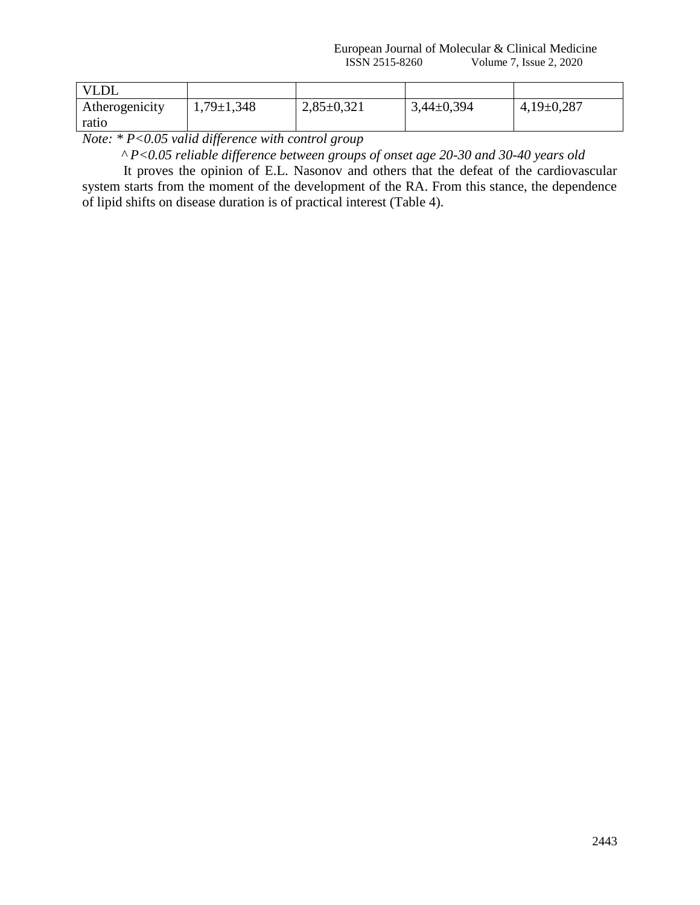European Journal of Molecular & Clinical Medicine<br>ISSN 2515-8260 Volume 7, Issue 2, 2020 Volume 7, Issue 2, 2020

| <b>VLDL</b>    |                  |                |                |                |
|----------------|------------------|----------------|----------------|----------------|
| Atherogenicity | $1,79 \pm 1,348$ | $2,85\pm0,321$ | $3,44\pm0,394$ | $4,19\pm0,287$ |
| ratio          |                  |                |                |                |

*Note: \* P<0.05 valid difference with control group*

 *^ P<0.05 reliable difference between groups of onset age 20-30 and 30-40 years old*

It proves the opinion of E.L. Nasonov and others that the defeat of the cardiovascular system starts from the moment of the development of the RA. From this stance, the dependence of lipid shifts on disease duration is of practical interest (Table 4).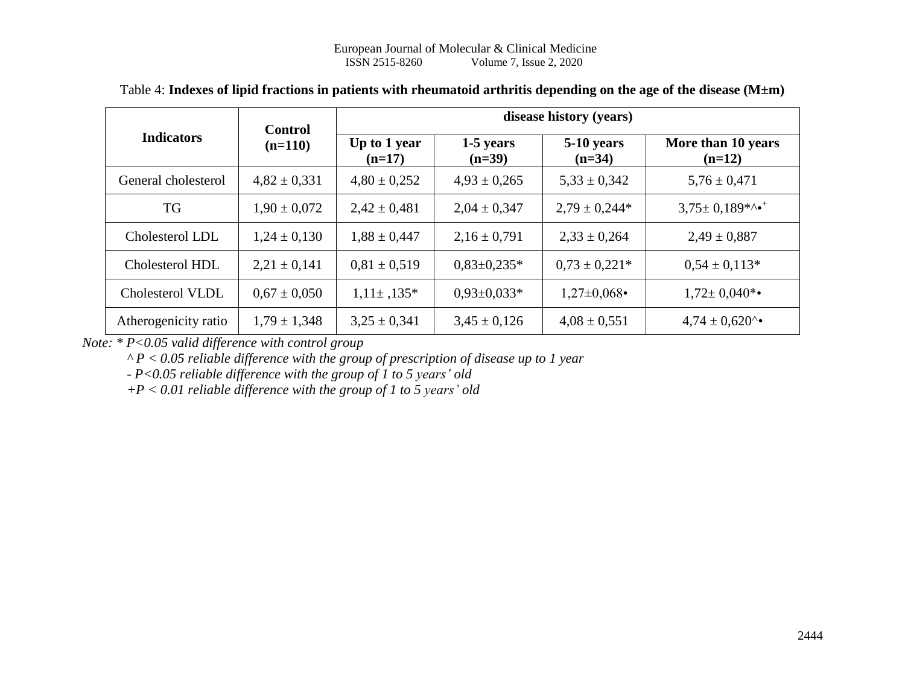|                      | <b>Control</b>   | disease history (years)  |                       |                        |                                |  |  |  |
|----------------------|------------------|--------------------------|-----------------------|------------------------|--------------------------------|--|--|--|
| <b>Indicators</b>    | $(n=110)$        | Up to 1 year<br>$(n=17)$ | 1-5 years<br>$(n=39)$ | 5-10 years<br>$(n=34)$ | More than 10 years<br>$(n=12)$ |  |  |  |
| General cholesterol  | $4,82 \pm 0,331$ | $4,80 \pm 0,252$         | $4,93 \pm 0,265$      | $5,33 \pm 0,342$       | $5,76 \pm 0,471$               |  |  |  |
| TG                   | $1,90 \pm 0,072$ | $2,42 \pm 0,481$         | $2,04 \pm 0,347$      | $2,79 \pm 0,244*$      | $3,75 \pm 0,189$ *^*           |  |  |  |
| Cholesterol LDL      | $1,24 \pm 0,130$ | $1,88 \pm 0,447$         | $2,16 \pm 0,791$      | $2,33 \pm 0,264$       | $2,49 \pm 0,887$               |  |  |  |
| Cholesterol HDL      | $2,21 \pm 0,141$ | $0.81 \pm 0.519$         | $0.83 \pm 0.235*$     | $0.73 \pm 0.221*$      | $0.54 \pm 0.113*$              |  |  |  |
| Cholesterol VLDL     | $0.67 \pm 0.050$ | $1,11\pm,135*$           | $0.93 \pm 0.033*$     | $1,27\pm0,068$         | $1,72 \pm 0,040$ *•            |  |  |  |
| Atherogenicity ratio | $1,79 \pm 1,348$ | $3,25 \pm 0,341$         | $3,45 \pm 0,126$      | $4,08 \pm 0,551$       | $4,74 \pm 0,620$ <sup>*</sup>  |  |  |  |

## Table 4: **Indexes of lipid fractions in patients with rheumatoid arthritis depending on the age of the disease (M±m)**

*Note: \* P<0.05 valid difference with control group*

*^ P < 0.05 reliable difference with the group of prescription of disease up to 1 year*

*- P<0.05 reliable difference with the group of 1 to 5 years' old*

*+P < 0.01 reliable difference with the group of 1 to 5 years' old*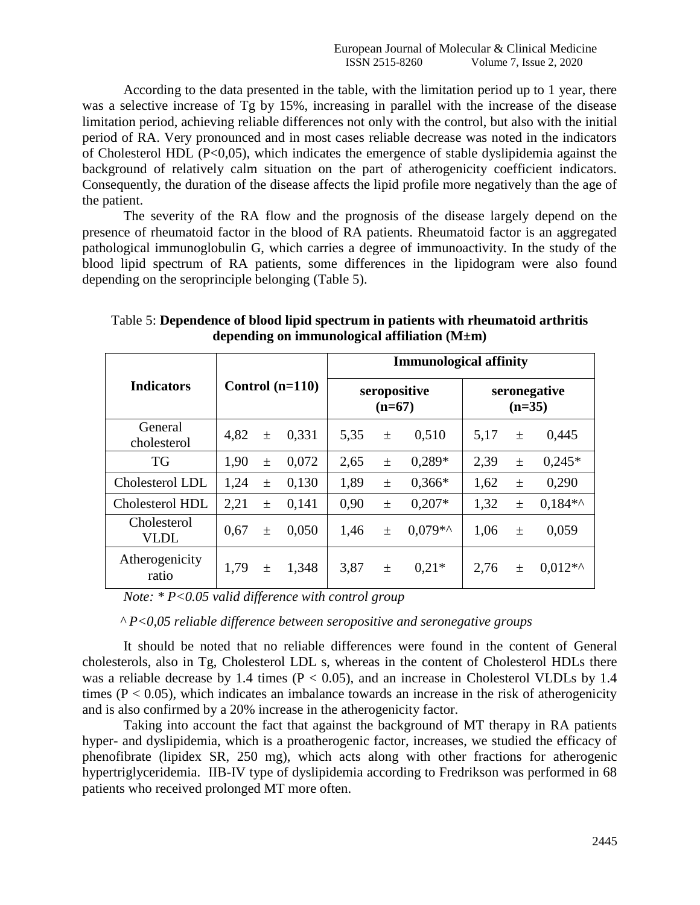According to the data presented in the table, with the limitation period up to 1 year, there was a selective increase of Tg by 15%, increasing in parallel with the increase of the disease limitation period, achieving reliable differences not only with the control, but also with the initial period of RA. Very pronounced and in most cases reliable decrease was noted in the indicators of Cholesterol HDL (P<0,05), which indicates the emergence of stable dyslipidemia against the background of relatively calm situation on the part of atherogenicity coefficient indicators. Consequently, the duration of the disease affects the lipid profile more negatively than the age of the patient.

The severity of the RA flow and the prognosis of the disease largely depend on the presence of rheumatoid factor in the blood of RA patients. Rheumatoid factor is an aggregated pathological immunoglobulin G, which carries a degree of immunoactivity. In the study of the blood lipid spectrum of RA patients, some differences in the lipidogram were also found depending on the seroprinciple belonging (Table 5).

|                            |      |       | <b>Immunological affinity</b> |                          |       |                          |      |       |           |
|----------------------------|------|-------|-------------------------------|--------------------------|-------|--------------------------|------|-------|-----------|
| <b>Indicators</b>          |      |       | Control $(n=110)$             | seropositive<br>$(n=67)$ |       | seronegative<br>$(n=35)$ |      |       |           |
| General<br>cholesterol     | 4,82 | $\pm$ | 0,331                         | 5,35                     | $\pm$ | 0,510                    | 5,17 | $\pm$ | 0,445     |
| TG                         | 1,90 | $\pm$ | 0,072                         | 2,65                     | $\pm$ | $0.289*$                 | 2.39 | $\pm$ | $0,245*$  |
| Cholesterol LDL            | 1,24 | $\pm$ | 0,130                         | 1,89                     | 土     | $0,366*$                 | 1,62 | $\pm$ | 0,290     |
| Cholesterol HDL            | 2,21 | $\pm$ | 0,141                         | 0.90                     | $\pm$ | $0.207*$                 | 1,32 | 土     | $0.184**$ |
| Cholesterol<br><b>VLDL</b> | 0.67 | $\pm$ | 0.050                         | 1,46                     | 土     | $0.079**$                | 1,06 | 土     | 0,059     |
| Atherogenicity<br>ratio    | 1,79 | $\pm$ | 1,348                         | 3,87                     | $\pm$ | $0.21*$                  | 2.76 | 土     | $0.012**$ |

Table 5: **Dependence of blood lipid spectrum in patients with rheumatoid arthritis depending on immunological affiliation (M±m)**

*Note: \* P<0.05 valid difference with control group*

 *^ P<0,05 reliable difference between seropositive and seronegative groups*

It should be noted that no reliable differences were found in the content of General cholesterols, also in Tg, Cholesterol LDL s, whereas in the content of Cholesterol HDLs there was a reliable decrease by 1.4 times ( $P < 0.05$ ), and an increase in Cholesterol VLDLs by 1.4 times ( $P < 0.05$ ), which indicates an imbalance towards an increase in the risk of atherogenicity and is also confirmed by a 20% increase in the atherogenicity factor.

Taking into account the fact that against the background of MT therapy in RA patients hyper- and dyslipidemia, which is a proatherogenic factor, increases, we studied the efficacy of phenofibrate (lipidex SR, 250 mg), which acts along with other fractions for atherogenic hypertriglyceridemia. IIB-IV type of dyslipidemia according to Fredrikson was performed in 68 patients who received prolonged MT more often.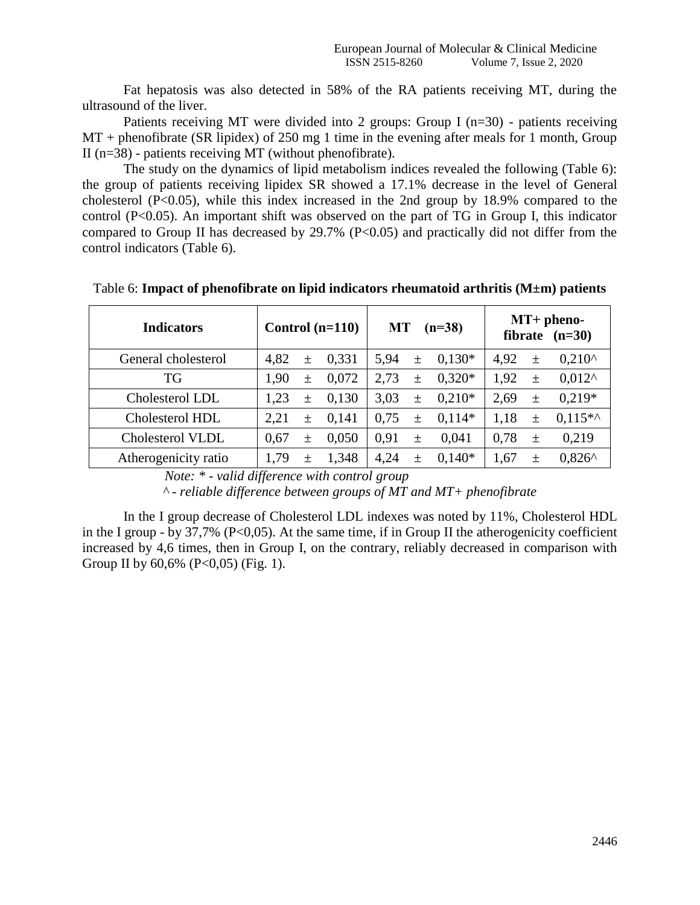Fat hepatosis was also detected in 58% of the RA patients receiving MT, during the ultrasound of the liver.

Patients receiving MT were divided into 2 groups: Group I (n=30) - patients receiving MT + phenofibrate (SR lipidex) of 250 mg 1 time in the evening after meals for 1 month, Group II (n=38) - patients receiving MT (without phenofibrate).

The study on the dynamics of lipid metabolism indices revealed the following (Table 6): the group of patients receiving lipidex SR showed a 17.1% decrease in the level of General cholesterol  $(P<0.05)$ , while this index increased in the 2nd group by 18.9% compared to the control (P<0.05). An important shift was observed on the part of TG in Group I, this indicator compared to Group II has decreased by  $29.7\%$  (P<0.05) and practically did not differ from the control indicators (Table 6).

| <b>Indicators</b>    | Control $(n=110)$ | <b>MT</b><br>$(n=38)$ | $MT+$ pheno-<br>fibrate $(n=30)$ |  |  |
|----------------------|-------------------|-----------------------|----------------------------------|--|--|
| General cholesterol  | 4,82              | $0.130*$              | $0.210^{\circ}$                  |  |  |
|                      | 0.331             | 5.94                  | 4,92                             |  |  |
|                      | $\pm$             | $\pm$                 | 土                                |  |  |
| TG                   | 0,072             | $0.320*$              | $0.012^$                         |  |  |
|                      | 1,90              | 2.73                  | 1,92                             |  |  |
|                      | $\pm$             | $\pm$                 | 土                                |  |  |
| Cholesterol LDL      | 0,130             | $0.210*$              | $0.219*$                         |  |  |
|                      | 1,23              | 3.03                  | 2.69                             |  |  |
|                      | $+$               | $\pm$                 | 土                                |  |  |
| Cholesterol HDL      | 2,21              | 0.75                  | $0.115**$                        |  |  |
|                      | 0,141             | $0.114*$              | 1,18                             |  |  |
|                      | $+$               | $\pm$                 | $\pm$                            |  |  |
| Cholesterol VLDL     | 0,050             | 0.91                  | 0,219                            |  |  |
|                      | 0.67              | 0,041                 | 0.78                             |  |  |
|                      | $\! + \!\!\!\!$   | $\pm$                 | 土                                |  |  |
| Atherogenicity ratio | 1,348             | 4,24                  | $0.826^{\wedge}$                 |  |  |
|                      | 1.79              | $0.140*$              | 1,67                             |  |  |
|                      | $^{+}$            | $\pm$                 | 土                                |  |  |

Table 6: **Impact of phenofibrate on lipid indicators rheumatoid arthritis (M±m) patients**

*Note: \* - valid difference with control group*

*^ - reliable difference between groups of MT and MT+ phenofibrate*

In the I group decrease of Cholesterol LDL indexes was noted by 11%, Cholesterol HDL in the I group - by 37,7% ( $P<0,05$ ). At the same time, if in Group II the atherogenicity coefficient increased by 4,6 times, then in Group I, on the contrary, reliably decreased in comparison with Group II by 60,6% (P<0,05) (Fig. 1).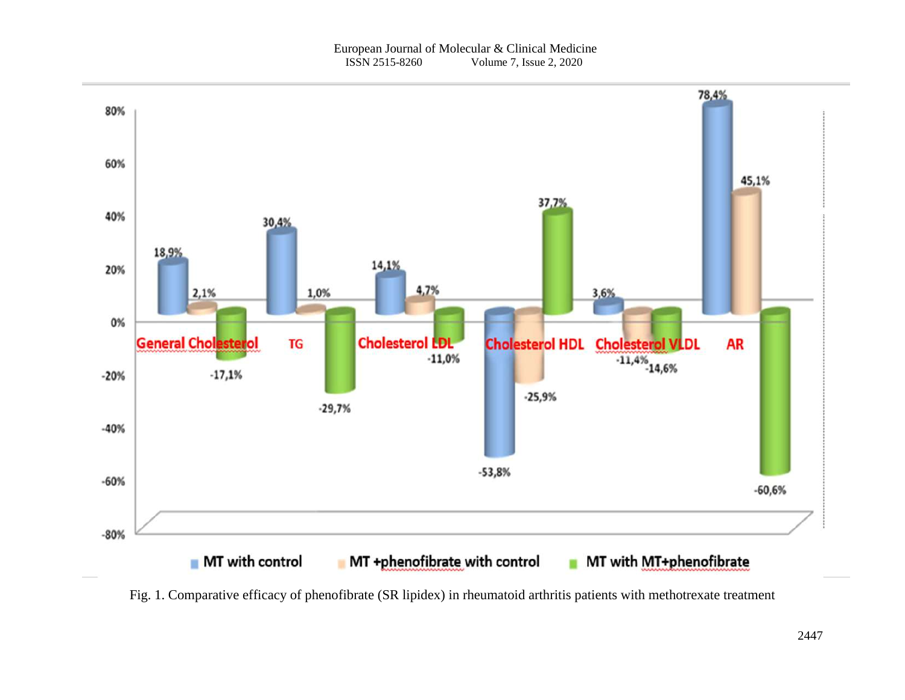

Fig. 1. Comparative efficacy of phenofibrate (SR lipidex) in rheumatoid arthritis patients with methotrexate treatment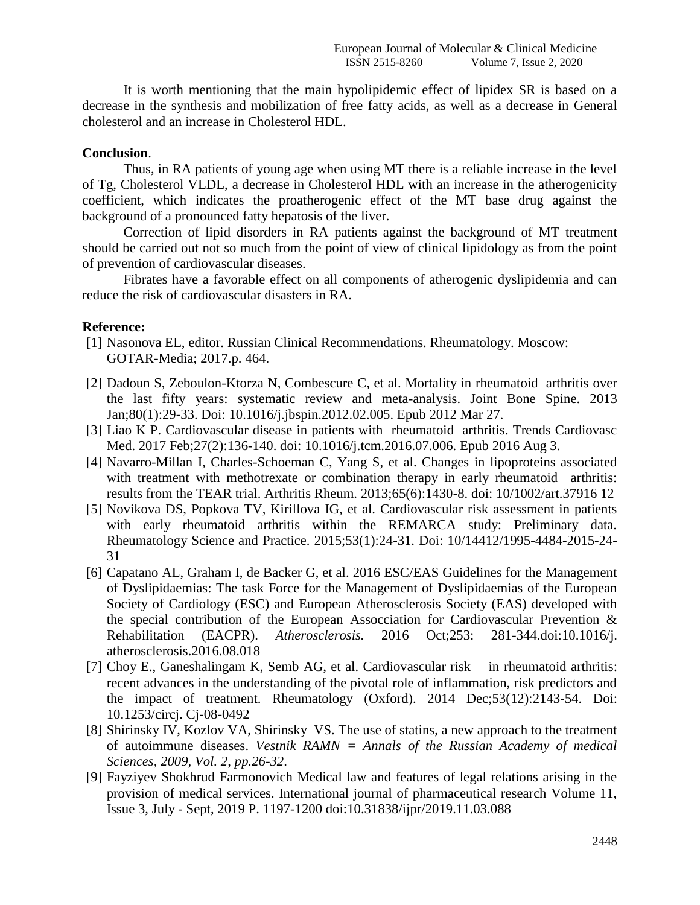It is worth mentioning that the main hypolipidemic effect of lipidex SR is based on a decrease in the synthesis and mobilization of free fatty acids, as well as a decrease in General cholesterol and an increase in Cholesterol HDL.

### **Conclusion**.

Thus, in RA patients of young age when using MT there is a reliable increase in the level of Tg, Cholesterol VLDL, a decrease in Cholesterol HDL with an increase in the atherogenicity coefficient, which indicates the proatherogenic effect of the MT base drug against the background of a pronounced fatty hepatosis of the liver.

Correction of lipid disorders in RA patients against the background of MT treatment should be carried out not so much from the point of view of clinical lipidology as from the point of prevention of cardiovascular diseases.

Fibrates have a favorable effect on all components of atherogenic dyslipidemia and can reduce the risk of cardiovascular disasters in RA.

### **Reference:**

- [1] Nasonova EL, editor. Russian Clinical Recommendations. Rheumatology. Moscow: GOTAR-Media; 2017.p. 464.
- [2] Dadoun S, Zeboulon-Ktorza N, Combescure C, et al. Mortality in rheumatoid arthritis over the last fifty years: systematic review and meta-analysis. Joint Bone Spine. 2013 Jan;80(1):29-33. Doi: 10.1016/j.jbspin.2012.02.005. Epub 2012 Mar 27.
- [3] Liao K P. Cardiovascular disease in patients with rheumatoid arthritis. Trends Cardiovasc Med. 2017 Feb;27(2):136-140. doi: 10.1016/j.tcm.2016.07.006. Epub 2016 Aug 3.
- [4] Navarro-Millan I, Charles-Schoeman C, Yang S, et al. Changes in lipoproteins associated with treatment with methotrexate or combination therapy in early rheumatoid arthritis: results from the TEAR trial. Arthritis Rheum. 2013;65(6):1430-8. doi: 10/1002/art.37916 12
- [5] Novikova DS, Popkova TV, Kirillova IG, et al. Cardiovascular risk assessment in patients with early rheumatoid arthritis within the REMARCA study: Preliminary data. Rheumatology Science and Practice. 2015;53(1):24-31. Doi: 10/14412/1995-4484-2015-24- 31
- [6] Capatano AL, Graham I, de Backer G, et al. 2016 ESC/EAS Guidelines for the Management of Dyslipidaemias: The task Force for the Management of Dyslipidaemias of the European Society of Cardiology (ESC) and European Atherosclerosis Society (EAS) developed with the special contribution of the European Assocciation for Cardiovascular Prevention & Rehabilitation (EACPR). *Atherosclerosis.* 2016 Oct;253: 281-344.doi:10.1016/j. atherosclerosis.2016.08.018
- [7] Choy E., Ganeshalingam K, Semb AG, et al. Cardiovascular risk in rheumatoid arthritis: recent advances in the understanding of the pivotal role of inflammation, risk predictors and the impact of treatment. Rheumatology (Oxford). 2014 Dec;53(12):2143-54. Doi: 10.1253/circj. Cj-08-0492
- [8] Shirinsky IV, Kozlov VA, Shirinsky VS. The use of statins, a new approach to the treatment of autoimmune diseases. *Vestnik RAMN = Annals of the Russian Academy of medical Sciences, 2009, Vol. 2, pp.26-32*.
- [9] Fayziyev Shokhrud Farmonovich Medical law and features of legal relations arising in the provision of medical services. International journal of pharmaceutical research Volume 11, Issue 3, July - Sept, 2019 P. 1197-1200 doi:10.31838/ijpr/2019.11.03.088